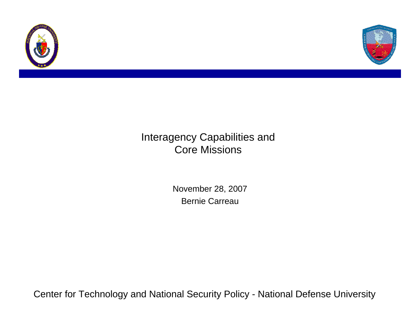



#### Interagency Capabilities and Core Missions

November 28, 2007 Bernie Carreau

Center for Technology and National Security Policy - National Defense University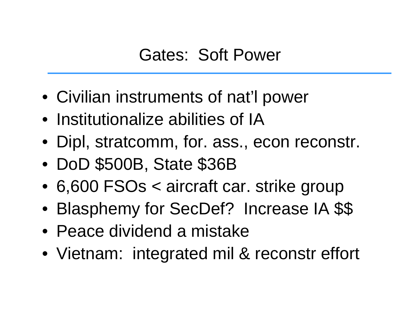## Gates: Soft Power

- Civilian instruments of nat'l power
- Institutionalize abilities of IA
- Dipl, stratcomm, for. ass., econ reconstr.
- $\bullet$ DoD \$500B, State \$36B
- 6,600 FSOs < aircraft car. strike group
- •Blasphemy for SecDef? Increase IA \$\$
- Peace dividend a mistake
- Vietnam: integrated mil & reconstr effort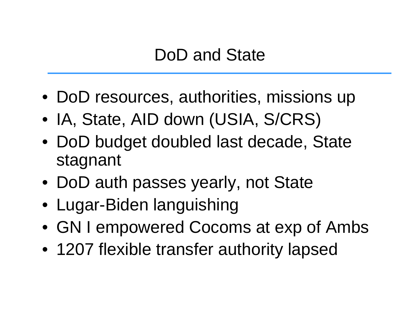# DoD and State

- DoD resources, authorities, missions up
- IA, State, AID down (USIA, S/CRS)
- DoD budget doubled last decade, State stagnant
- DoD auth passes yearly, not State
- Lugar-Biden languishing
- GN I empowered Cocoms at exp of Ambs
- 1207 flexible transfer authority lapsed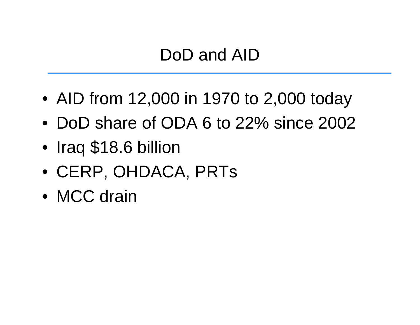# DoD and AID

- AID from 12,000 in 1970 to 2,000 today
- DoD share of ODA 6 to 22% since 2002
- $\bullet$ Iraq \$18.6 billion
- CERP, OHDACA, PRTs
- MCC drain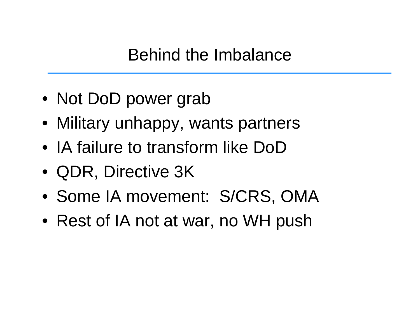Behind the Imbalance

- Not DoD power grab
- Military unhappy, wants partners
- IA failure to transform like DoD
- QDR, Directive 3K
- Some IA movement: S/CRS, OMA
- Rest of IA not at war, no WH push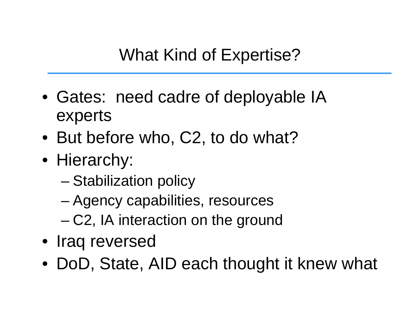What Kind of Expertise?

- Gates: need cadre of deployable IA experts
- But before who, C2, to do what?
- Hierarchy:
	- –Stabilization policy
	- –Agency capabilities, resources
	- –C2, IA interaction on the ground
- Iraq reversed
- DoD, State, AID each thought it knew what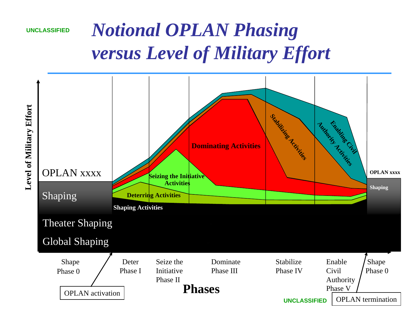

# *Notional OPLAN Phasing versus Level of Military Effort*



**Level of Military Effort Level of Military Effort**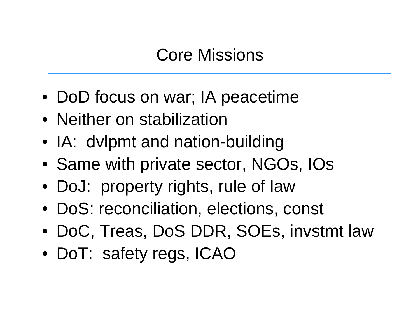## Core Missions

- DoD focus on war; IA peacetime
- Neither on stabilization
- IA: dvlpmt and nation-building
- Same with private sector, NGOs, IOs
- DoJ: property rights, rule of law
- DoS: reconciliation, elections, const
- DoC, Treas, DoS DDR, SOEs, invstmt law
- DoT: safety regs, ICAO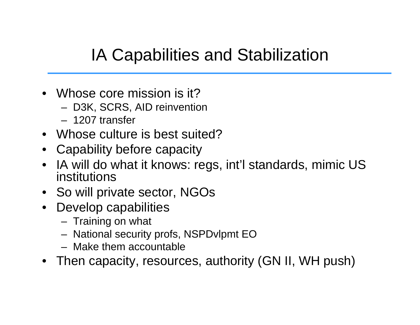# IA Capabilities and Stabilization

- Whose core mission is it?
	- D3K, SCRS, AID reinvention
	- 1207 transfer
- Whose culture is best suited?
- Capability before capacity
- IA will do what it knows: regs, int'l standards, mimic US institutions
- So will private sector, NGOs
- Develop capabilities
	- Training on what
	- National security profs, NSPDvlpmt EO
	- Make them accountable
- Then capacity, resources, authority (GN II, WH push)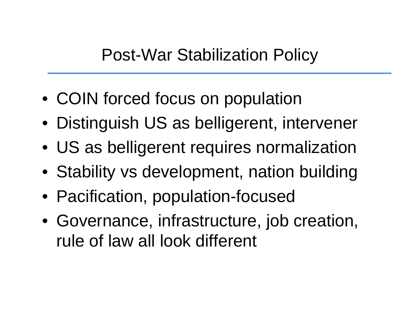- COIN forced focus on population
- Distinguish US as belligerent, intervener
- US as belligerent requires normalization
- Stability vs development, nation building
- Pacification, population-focused
- Governance, infrastructure, job creation, rule of law all look different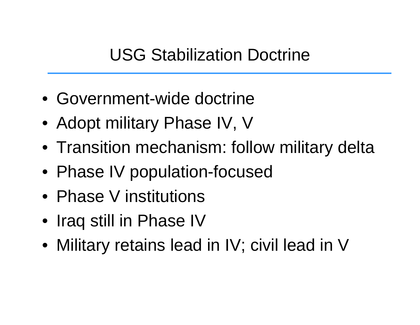## USG Stabilization Doctrine

- Government-wide doctrine
- Adopt military Phase IV, V
- Transition mechanism: follow military delta
- Phase IV population-focused
- Phase V institutions
- Iraq still in Phase IV
- Military retains lead in IV; civil lead in V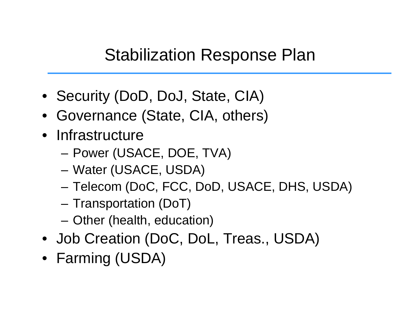## Stabilization Response Plan

- Security (DoD, DoJ, State, CIA)
- Governance (State, CIA, others)
- Infrastructure
	- –Power (USACE, DOE, TVA)
	- Water (USACE, USDA)
	- Telecom (DoC, FCC, DoD, USACE, DHS, USDA)
	- Transportation (DoT)
	- Other (health, education)
- Job Creation (DoC, DoL, Treas., USDA)
- Farming (USDA)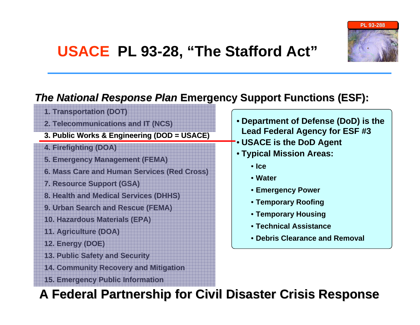

#### *The National Response Plan* **Emergency Support Functions (ESF):**

- **1. Transportation (DOT) 1. Transportation**
- **2. Telecommunications and IT (NCS) 2. Telecommunications and IT (NCS)**
- **3. Public Works & Engi 3. Public Works & Engineering (DOD = USACE) neering (DOD = USACE)**
- **4. Firefighting (DOA) 4. Firefighting (DOA)**
- **5. Emergency Management (FEMA) 5. Emergency Management (FEMA)**
- **6. Mass Care and Huma 6. Mass Care and Human Services (Red Cross) n Services (Red Cross)**
- **7. Resource Support (GSA) 7. Resource Support (GSA)**
- **8. Health and Medi 8. Health and Medical Services (DHHS) cal Services (DHHS)**
- **9. Urban Search and Rescue (FEMA) 9. Urban Search and Rescue (FEMA)**
- **10. Hazardous Materials (EPA) 10. Hazardous Materials (EPA)**
- **11. Agriculture (DOA) 11. Agriculture (DOA)**
- **12. Energy (DOE) 12. Energy (DOE)**
- **13. Public Safety and Security 13. Public Safety and Security**
- **14. Community Recovery and Mitigation**
- **15. Emergency Public Information**
- **Department of Defense (DoD) is the Lead Federal Agency for ESF #3**
- **USACE is the DoD Agent**
- **Typical Mission Areas:**
	- **Ice**
	- **Water**
	- **Emergency Power**
	- **Temporary Roofing**
	- **Temporary Housing**
	- **Technical Assistance**
	- **Debris Clearance and Removal**

**A Federal Partnership for Civil Disaster Crisis Response A Federal Partnership for Civil Disaster Crisis Response**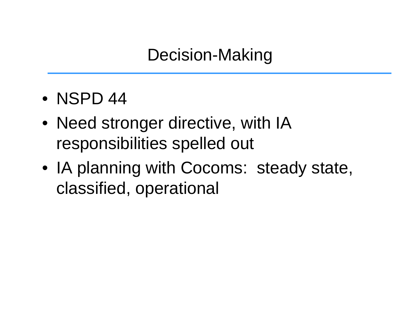Decision-Making

- NSPD 44
- Need stronger directive, with IA responsibilities spelled out
- IA planning with Cocoms: steady state, classified, operational